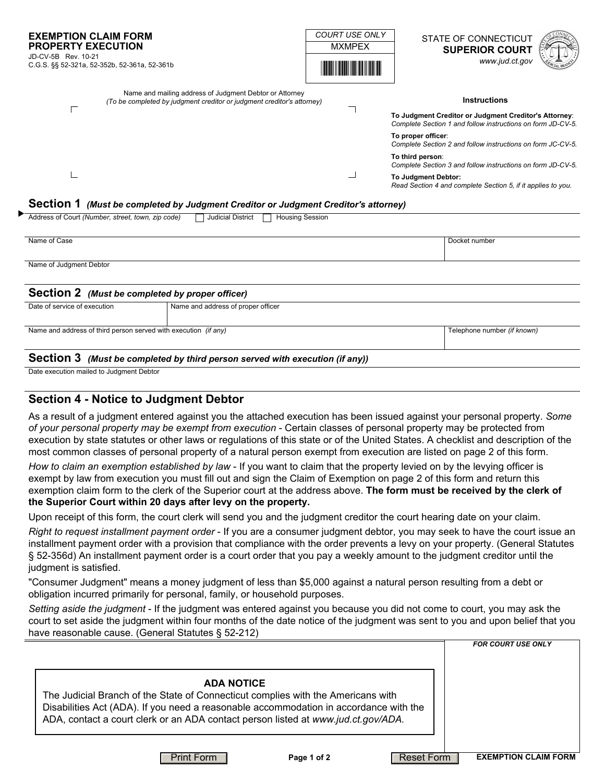| <b>EXEMPTION CLAIM FORM</b><br><b>PROPERTY EXECUTION</b><br>JD-CV-5B Rev. 10-21<br>C.G.S. §§ 52-321a, 52-352b, 52-361a, 52-361b   | <b>COURT USE ONLY</b><br><b>MXMPEX</b> | STATE OF CONNECTICUT<br><b>SUPERIOR COURT</b><br>www.jud.ct.gov                                                                                                        |
|-----------------------------------------------------------------------------------------------------------------------------------|----------------------------------------|------------------------------------------------------------------------------------------------------------------------------------------------------------------------|
| Name and mailing address of Judgment Debtor or Attorney<br>(To be completed by judgment creditor or judgment creditor's attorney) |                                        | <b>Instructions</b><br>To Judgment Creditor or Judgment Creditor's Attorney:<br>Complete Section 1 and follow instructions on form JD-CV-5.                            |
|                                                                                                                                   |                                        | To proper officer:<br>Complete Section 2 and follow instructions on form JC-CV-5.                                                                                      |
|                                                                                                                                   |                                        | To third person:<br>Complete Section 3 and follow instructions on form JD-CV-5.<br>To Judgment Debtor:<br>Read Section 4 and complete Section 5, if it applies to you. |

#### **Section 1** *(Must be completed by Judgment Creditor or Judgment Creditor's attorney)*

| Address of Court (Number, street, town, zip code)<br><b>Judicial District</b><br><b>Housing Session</b> |                                    |                             |  |  |  |
|---------------------------------------------------------------------------------------------------------|------------------------------------|-----------------------------|--|--|--|
|                                                                                                         |                                    |                             |  |  |  |
| Name of Case                                                                                            |                                    | Docket number               |  |  |  |
|                                                                                                         |                                    |                             |  |  |  |
| Name of Judgment Debtor                                                                                 |                                    |                             |  |  |  |
|                                                                                                         |                                    |                             |  |  |  |
|                                                                                                         |                                    |                             |  |  |  |
| Section 2 (Must be completed by proper officer)                                                         |                                    |                             |  |  |  |
| Date of service of execution                                                                            | Name and address of proper officer |                             |  |  |  |
|                                                                                                         |                                    |                             |  |  |  |
| Name and address of third person served with execution (if any)                                         |                                    | Telephone number (if known) |  |  |  |
|                                                                                                         |                                    |                             |  |  |  |

#### **Section 3** *(Must be completed by third person served with execution (if any))*

Date execution mailed to Judgment Debtor

### **Section 4 - Notice to Judgment Debtor**

As a result of a judgment entered against you the attached execution has been issued against your personal property. *Some of your personal property may be exempt from execution* - Certain classes of personal property may be protected from execution by state statutes or other laws or regulations of this state or of the United States. A checklist and description of the most common classes of personal property of a natural person exempt from execution are listed on page 2 of this form.

*How to claim an exemption established by law* - If you want to claim that the property levied on by the levying officer is exempt by law from execution you must fill out and sign the Claim of Exemption on page 2 of this form and return this exemption claim form to the clerk of the Superior court at the address above. **The form must be received by the clerk of the Superior Court within 20 days after levy on the property.**

Upon receipt of this form, the court clerk will send you and the judgment creditor the court hearing date on your claim.

*Right to request installment payment order* - If you are a consumer judgment debtor, you may seek to have the court issue an installment payment order with a provision that compliance with the order prevents a levy on your property. (General Statutes § 52-356d) An installment payment order is a court order that you pay a weekly amount to the judgment creditor until the judgment is satisfied.

"Consumer Judgment" means a money judgment of less than \$5,000 against a natural person resulting from a debt or obligation incurred primarily for personal, family, or household purposes.

*Setting aside the judgment* - If the judgment was entered against you because you did not come to court, you may ask the court to set aside the judgment within four months of the date notice of the judgment was sent to you and upon belief that you have reasonable cause. (General Statutes § 52-212)

|                                                                                                                                                                                                                                                                                     | <b>FOR COURT USE ONLY</b>   |
|-------------------------------------------------------------------------------------------------------------------------------------------------------------------------------------------------------------------------------------------------------------------------------------|-----------------------------|
| <b>ADA NOTICE</b><br>The Judicial Branch of the State of Connecticut complies with the Americans with<br>Disabilities Act (ADA). If you need a reasonable accommodation in accordance with the<br>ADA, contact a court clerk or an ADA contact person listed at www.jud.ct.gov/ADA. |                             |
| Reset Form<br>Page 1 of 2<br>Print Form                                                                                                                                                                                                                                             | <b>EXEMPTION CLAIM FORM</b> |